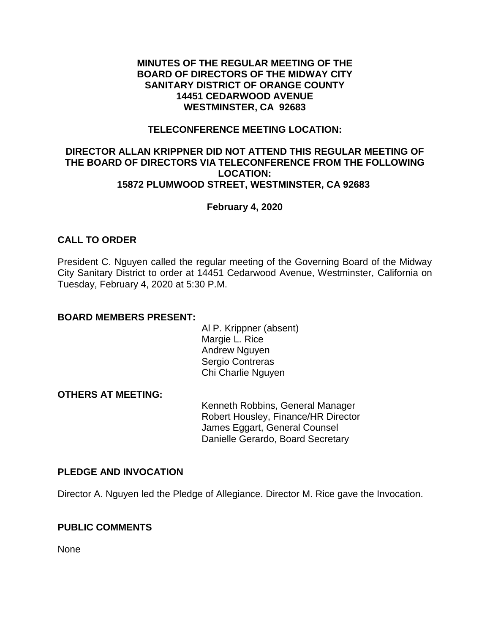### **MINUTES OF THE REGULAR MEETING OF THE BOARD OF DIRECTORS OF THE MIDWAY CITY SANITARY DISTRICT OF ORANGE COUNTY 14451 CEDARWOOD AVENUE WESTMINSTER, CA 92683**

### **TELECONFERENCE MEETING LOCATION:**

### **DIRECTOR ALLAN KRIPPNER DID NOT ATTEND THIS REGULAR MEETING OF THE BOARD OF DIRECTORS VIA TELECONFERENCE FROM THE FOLLOWING LOCATION: 15872 PLUMWOOD STREET, WESTMINSTER, CA 92683**

# **February 4, 2020**

# **CALL TO ORDER**

President C. Nguyen called the regular meeting of the Governing Board of the Midway City Sanitary District to order at 14451 Cedarwood Avenue, Westminster, California on Tuesday, February 4, 2020 at 5:30 P.M.

### **BOARD MEMBERS PRESENT:**

Al P. Krippner (absent) Margie L. Rice Andrew Nguyen Sergio Contreras Chi Charlie Nguyen

# **OTHERS AT MEETING:**

Kenneth Robbins, General Manager Robert Housley, Finance/HR Director James Eggart, General Counsel Danielle Gerardo, Board Secretary

#### **PLEDGE AND INVOCATION**

Director A. Nguyen led the Pledge of Allegiance. Director M. Rice gave the Invocation.

# **PUBLIC COMMENTS**

None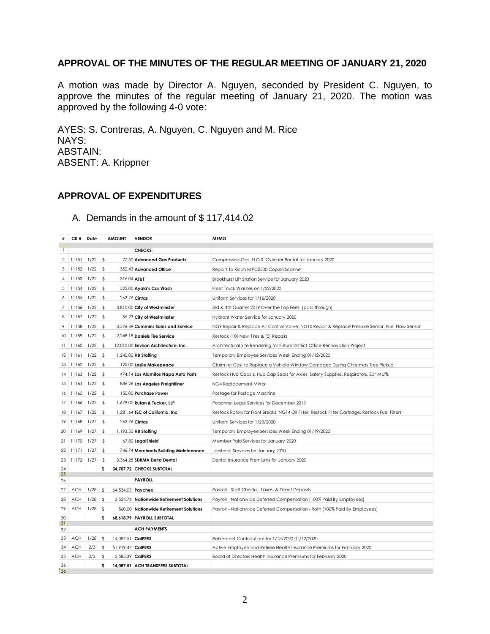# **APPROVAL OF THE MINUTES OF THE REGULAR MEETING OF JANUARY 21, 2020**

A motion was made by Director A. Nguyen, seconded by President C. Nguyen, to approve the minutes of the regular meeting of January 21, 2020. The motion was approved by the following 4-0 vote:

AYES: S. Contreras, A. Nguyen, C. Nguyen and M. Rice NAYS: ABSTAIN: ABSENT: A. Krippner

# **APPROVAL OF EXPENDITURES**

|              | CK #       | Date | <b>AMOUNT</b>             | <b>VENDOR</b>                            | <b>MEMO</b>                                                                                      |
|--------------|------------|------|---------------------------|------------------------------------------|--------------------------------------------------------------------------------------------------|
| $\mathbf{1}$ |            |      |                           | <b>CHECKS:</b>                           |                                                                                                  |
| 2            | 11151      | 1/22 | \$                        | 77.50 Advanced Gas Products              | Compressed Gas, N.O.S. Cylinder Rental for January 2020                                          |
| 3            | 11152      | 1/22 | \$                        | 352.43 Advanced Office                   | Repairs to Ricoh MPC2500 Copier/Scanner                                                          |
| 4            | 11153      | 1/22 | $\sqrt{2}$<br>316.04 AT&T |                                          | Brookhurst Lift Station Service for January 2020                                                 |
| 5            | 11154      | 1/22 | $\sqrt{2}$                | 525.00 Ayala's Car Wash                  | Fleet Truck Washes on 1/22/2020                                                                  |
| 6            | 11155      | 1/22 | \$                        | 263.76 Cintas                            | Uniform Services for 1/16/2020                                                                   |
| 7            | 11156      | 1/22 | $\sqrt[6]{2}$             | 3,810.00 City of Westminster             | 3rd & 4th Quarter 2019 Over the Top Fees (pass-through)                                          |
| 8            | 11157      | 1/22 | \$                        | 56.23 City of Westminster                | Hydrant Water Service for January 2020                                                           |
| 9            | 11158      | 1/22 | \$                        | 3,576.49 Cummins Sales and Service       | NG9 Repair & Replace Air Control Valve, NG10 Repair & Replace Pressure Sensor, Fuel Flow Sensor  |
| 10           | 11159      | 1/22 | \$                        | 2,248.18 Daniels Tire Service            | Restock (10) New Tires & (5) Repairs                                                             |
| 11           | 11160      | 1/22 | \$                        | 12,010.00 Environ Architecture, Inc.     | Architectural Site Rendering for Future District Office Rennovation Project                      |
| 12           | 11161      | 1/22 | \$                        | 1,240.00 HB Staffing                     | Temporary Employee Services Week Ending 01/12/2020                                               |
| 13           | 11162      | 1/22 | \$                        | 125.00 Leslie Makepeace                  | Claim re: Cost to Replace a Vehicle Window Damaged During Christmas Tree Pickup                  |
| 14           | 11163      | 1/22 | $\sqrt{2}$                | 474.14 Los Alamitos Napa Auto Parts      | Restock Hub Caps & Hub Cap Seals for Axles, Safety Supplies, Respirators, Ear Muffs              |
| 15           | 11164      | 1/22 | \$                        | 886.26 Los Angeles Freightliner          | NG4 Replacement Mirror                                                                           |
| 16           | 11165      | 1/22 | \$                        | 150.00 Purchase Power                    | Postage for Postage Machine                                                                      |
| 17           | 11166      | 1/22 | \$                        | 1,679.00 Rutan & Tucker, LLP             | Personnel Legal Services for December 2019                                                       |
| 18           | 11167      | 1/22 | \$                        | 1,281.64 TEC of California, Inc.         | Restock Rotors for Front Breaks, NG14 Oil Filter, Restock Filter Cartridge, Restock Fuel Filters |
| 19           | 11168      | 1/27 | \$                        | 263.76 Cintas                            | Uniform Services for 1/23/2020                                                                   |
| 20           | 11169      | 1/27 | \$                        | 1,193.50 HB Staffing                     | Temporary Employee Services Week Ending 01/19/2020                                               |
| 21           | 11170      | 1/27 | \$                        | 67.80 LegalShield                        | Member Paid Services for January 2020                                                            |
| 22           | 11171      | 1/27 | \$                        | 746.74 Merchants Building Maintenance    | Janitorial Services for January 2020                                                             |
| 23           | 11172      | 1/27 | $\sqrt{2}$                | 3,364.25 SDRMA Delta Dental              | Dental Insurance Premiums for January 2020                                                       |
| 24<br>25     |            |      | s                         | 34.707.72 CHECKS SUBTOTAL                |                                                                                                  |
| 26           |            |      |                           | <b>PAYROLL</b>                           |                                                                                                  |
| 27           | <b>ACH</b> | 1/28 | \$<br>64,534.03 Paychex   |                                          | Payroll - Staff Checks, Taxes, & Direct Deposits                                                 |
| 28           | <b>ACH</b> | 1/28 | \$                        | 3,524.76 Nationwide Retirement Solutions | Payroll - Nationwide Deferred Compensation (100% Paid By Employees)                              |
| 29           | <b>ACH</b> | 1/28 | \$                        | 560.00 Nationwide Retirement Solutions   | Payroll - Nationwide Deferred Compensation - Roth (100% Paid By Employees)                       |
| 30           |            |      | \$.                       | 68,618.79 PAYROLL SUBTOTAL               |                                                                                                  |
| 31<br>32     |            |      |                           | <b>ACH PAYMENTS</b>                      |                                                                                                  |
| 33           | <b>ACH</b> | 1/28 | \$<br>14.087.51 CalPERS   |                                          | Retirement Contributions for 1/13/2020-01/12/2020                                                |
| 34           | <b>ACH</b> | 2/3  | \$<br>51,919.47 CalPERS   |                                          | Active Employee and Retiree Health Insurance Premiums for February 2020                          |
| 35           | <b>ACH</b> | 2/3  | \$<br>5.585.39 CalPERS    |                                          | Board of Directors Health Insurance Premiums for February 2020                                   |
| 36<br>36     |            |      | s                         | 14.087.51 ACH TRANSFERS SUBTOTAL         |                                                                                                  |

# A. Demands in the amount of \$ 117,414.02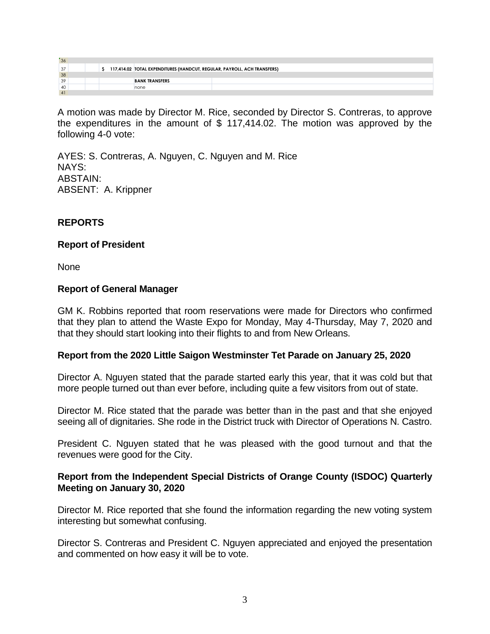| "36" |  |  |  |  |                                                                          |  |  |  |  |
|------|--|--|--|--|--------------------------------------------------------------------------|--|--|--|--|
| 37   |  |  |  |  | 117,414.02 TOTAL EXPENDITURES (HANDCUT, REGULAR, PAYROLL, ACH TRANSFERS) |  |  |  |  |
| 38   |  |  |  |  |                                                                          |  |  |  |  |
| 39   |  |  |  |  | <b>BANK TRANSFERS</b>                                                    |  |  |  |  |
| 40   |  |  |  |  | none                                                                     |  |  |  |  |
|      |  |  |  |  |                                                                          |  |  |  |  |

A motion was made by Director M. Rice, seconded by Director S. Contreras, to approve the expenditures in the amount of \$ 117,414.02. The motion was approved by the following 4-0 vote:

AYES: S. Contreras, A. Nguyen, C. Nguyen and M. Rice NAYS: ABSTAIN: ABSENT: A. Krippner

# **REPORTS**

# **Report of President**

None

# **Report of General Manager**

GM K. Robbins reported that room reservations were made for Directors who confirmed that they plan to attend the Waste Expo for Monday, May 4-Thursday, May 7, 2020 and that they should start looking into their flights to and from New Orleans.

# **Report from the 2020 Little Saigon Westminster Tet Parade on January 25, 2020**

Director A. Nguyen stated that the parade started early this year, that it was cold but that more people turned out than ever before, including quite a few visitors from out of state.

Director M. Rice stated that the parade was better than in the past and that she enjoyed seeing all of dignitaries. She rode in the District truck with Director of Operations N. Castro.

President C. Nguyen stated that he was pleased with the good turnout and that the revenues were good for the City.

# **Report from the Independent Special Districts of Orange County (ISDOC) Quarterly Meeting on January 30, 2020**

Director M. Rice reported that she found the information regarding the new voting system interesting but somewhat confusing.

Director S. Contreras and President C. Nguyen appreciated and enjoyed the presentation and commented on how easy it will be to vote.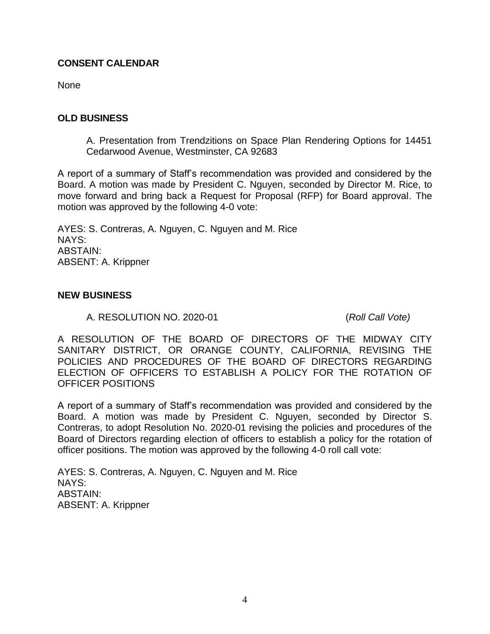# **CONSENT CALENDAR**

None

# **OLD BUSINESS**

A. Presentation from Trendzitions on Space Plan Rendering Options for 14451 Cedarwood Avenue, Westminster, CA 92683

A report of a summary of Staff's recommendation was provided and considered by the Board. A motion was made by President C. Nguyen, seconded by Director M. Rice, to move forward and bring back a Request for Proposal (RFP) for Board approval. The motion was approved by the following 4-0 vote:

AYES: S. Contreras, A. Nguyen, C. Nguyen and M. Rice NAYS: ABSTAIN: ABSENT: A. Krippner

### **NEW BUSINESS**

A. RESOLUTION NO. 2020-01 (*Roll Call Vote)*

A RESOLUTION OF THE BOARD OF DIRECTORS OF THE MIDWAY CITY SANITARY DISTRICT, OR ORANGE COUNTY, CALIFORNIA, REVISING THE POLICIES AND PROCEDURES OF THE BOARD OF DIRECTORS REGARDING ELECTION OF OFFICERS TO ESTABLISH A POLICY FOR THE ROTATION OF OFFICER POSITIONS

A report of a summary of Staff's recommendation was provided and considered by the Board. A motion was made by President C. Nguyen, seconded by Director S. Contreras, to adopt Resolution No. 2020-01 revising the policies and procedures of the Board of Directors regarding election of officers to establish a policy for the rotation of officer positions. The motion was approved by the following 4-0 roll call vote:

AYES: S. Contreras, A. Nguyen, C. Nguyen and M. Rice NAYS: ABSTAIN: ABSENT: A. Krippner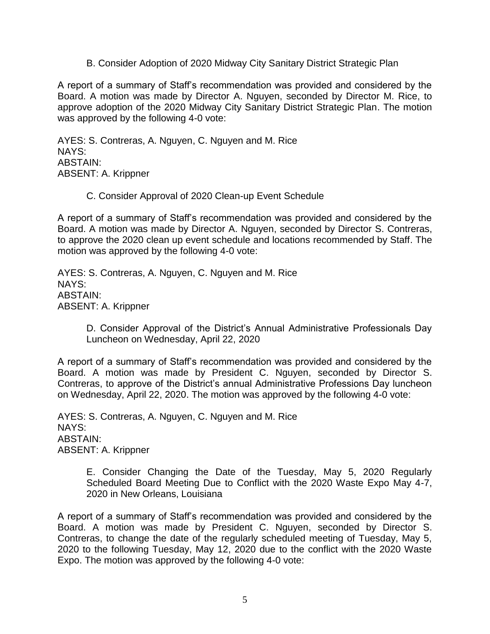B. Consider Adoption of 2020 Midway City Sanitary District Strategic Plan

A report of a summary of Staff's recommendation was provided and considered by the Board. A motion was made by Director A. Nguyen, seconded by Director M. Rice, to approve adoption of the 2020 Midway City Sanitary District Strategic Plan. The motion was approved by the following 4-0 vote:

AYES: S. Contreras, A. Nguyen, C. Nguyen and M. Rice NAYS: ABSTAIN: ABSENT: A. Krippner

C. Consider Approval of 2020 Clean-up Event Schedule

A report of a summary of Staff's recommendation was provided and considered by the Board. A motion was made by Director A. Nguyen, seconded by Director S. Contreras, to approve the 2020 clean up event schedule and locations recommended by Staff. The motion was approved by the following 4-0 vote:

AYES: S. Contreras, A. Nguyen, C. Nguyen and M. Rice NAYS: ABSTAIN: ABSENT: A. Krippner

> D. Consider Approval of the District's Annual Administrative Professionals Day Luncheon on Wednesday, April 22, 2020

A report of a summary of Staff's recommendation was provided and considered by the Board. A motion was made by President C. Nguyen, seconded by Director S. Contreras, to approve of the District's annual Administrative Professions Day luncheon on Wednesday, April 22, 2020. The motion was approved by the following 4-0 vote:

AYES: S. Contreras, A. Nguyen, C. Nguyen and M. Rice NAYS: ABSTAIN: ABSENT: A. Krippner

> E. Consider Changing the Date of the Tuesday, May 5, 2020 Regularly Scheduled Board Meeting Due to Conflict with the 2020 Waste Expo May 4-7, 2020 in New Orleans, Louisiana

A report of a summary of Staff's recommendation was provided and considered by the Board. A motion was made by President C. Nguyen, seconded by Director S. Contreras, to change the date of the regularly scheduled meeting of Tuesday, May 5, 2020 to the following Tuesday, May 12, 2020 due to the conflict with the 2020 Waste Expo. The motion was approved by the following 4-0 vote: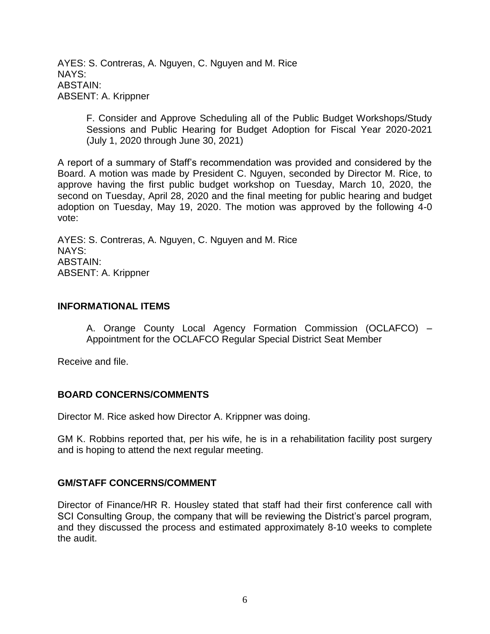AYES: S. Contreras, A. Nguyen, C. Nguyen and M. Rice NAYS: ABSTAIN: ABSENT: A. Krippner

> F. Consider and Approve Scheduling all of the Public Budget Workshops/Study Sessions and Public Hearing for Budget Adoption for Fiscal Year 2020-2021 (July 1, 2020 through June 30, 2021)

A report of a summary of Staff's recommendation was provided and considered by the Board. A motion was made by President C. Nguyen, seconded by Director M. Rice, to approve having the first public budget workshop on Tuesday, March 10, 2020, the second on Tuesday, April 28, 2020 and the final meeting for public hearing and budget adoption on Tuesday, May 19, 2020. The motion was approved by the following 4-0 vote:

AYES: S. Contreras, A. Nguyen, C. Nguyen and M. Rice NAYS: ABSTAIN: ABSENT: A. Krippner

#### **INFORMATIONAL ITEMS**

A. Orange County Local Agency Formation Commission (OCLAFCO) – Appointment for the OCLAFCO Regular Special District Seat Member

Receive and file.

# **BOARD CONCERNS/COMMENTS**

Director M. Rice asked how Director A. Krippner was doing.

GM K. Robbins reported that, per his wife, he is in a rehabilitation facility post surgery and is hoping to attend the next regular meeting.

#### **GM/STAFF CONCERNS/COMMENT**

Director of Finance/HR R. Housley stated that staff had their first conference call with SCI Consulting Group, the company that will be reviewing the District's parcel program, and they discussed the process and estimated approximately 8-10 weeks to complete the audit.